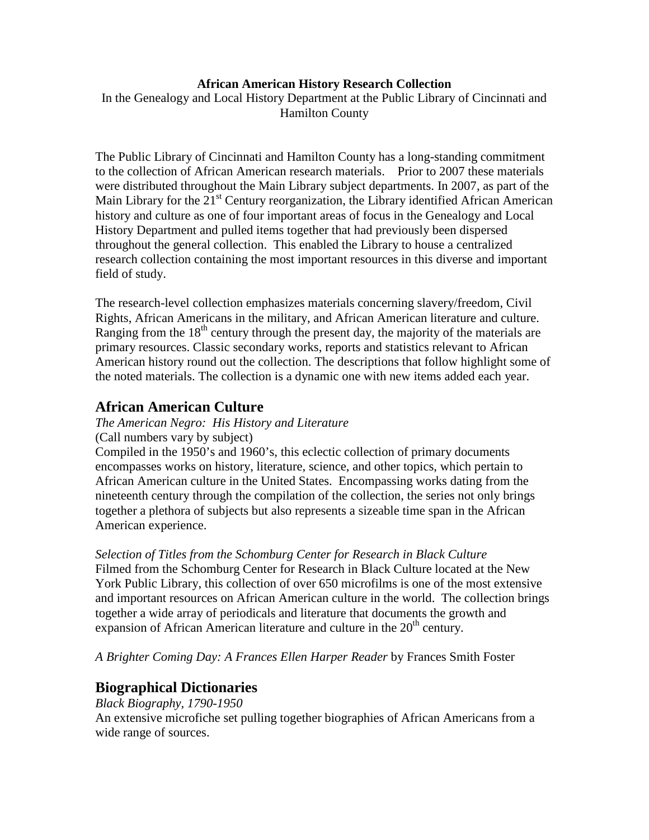### **African American History Research Collection**

In the Genealogy and Local History Department at the Public Library of Cincinnati and Hamilton County

The Public Library of Cincinnati and Hamilton County has a long-standing commitment to the collection of African American research materials. Prior to 2007 these materials were distributed throughout the Main Library subject departments. In 2007, as part of the Main Library for the  $21<sup>st</sup>$  Century reorganization, the Library identified African American history and culture as one of four important areas of focus in the Genealogy and Local History Department and pulled items together that had previously been dispersed throughout the general collection. This enabled the Library to house a centralized research collection containing the most important resources in this diverse and important field of study.

The research-level collection emphasizes materials concerning slavery/freedom, Civil Rights, African Americans in the military, and African American literature and culture. Ranging from the  $18<sup>th</sup>$  century through the present day, the majority of the materials are primary resources. Classic secondary works, reports and statistics relevant to African American history round out the collection. The descriptions that follow highlight some of the noted materials. The collection is a dynamic one with new items added each year.

# **African American Culture**

## *The American Negro: His History and Literature*

(Call numbers vary by subject)

Compiled in the 1950's and 1960's, this eclectic collection of primary documents encompasses works on history, literature, science, and other topics, which pertain to African American culture in the United States. Encompassing works dating from the nineteenth century through the compilation of the collection, the series not only brings together a plethora of subjects but also represents a sizeable time span in the African American experience.

*Selection of Titles from the Schomburg Center for Research in Black Culture* Filmed from the Schomburg Center for Research in Black Culture located at the New York Public Library, this collection of over 650 microfilms is one of the most extensive and important resources on African American culture in the world. The collection brings together a wide array of periodicals and literature that documents the growth and expansion of African American literature and culture in the  $20<sup>th</sup>$  century.

*A Brighter Coming Day: A Frances Ellen Harper Reader* by Frances Smith Foster

# **Biographical Dictionaries**

*Black Biography, 1790-1950* 

An extensive microfiche set pulling together biographies of African Americans from a wide range of sources.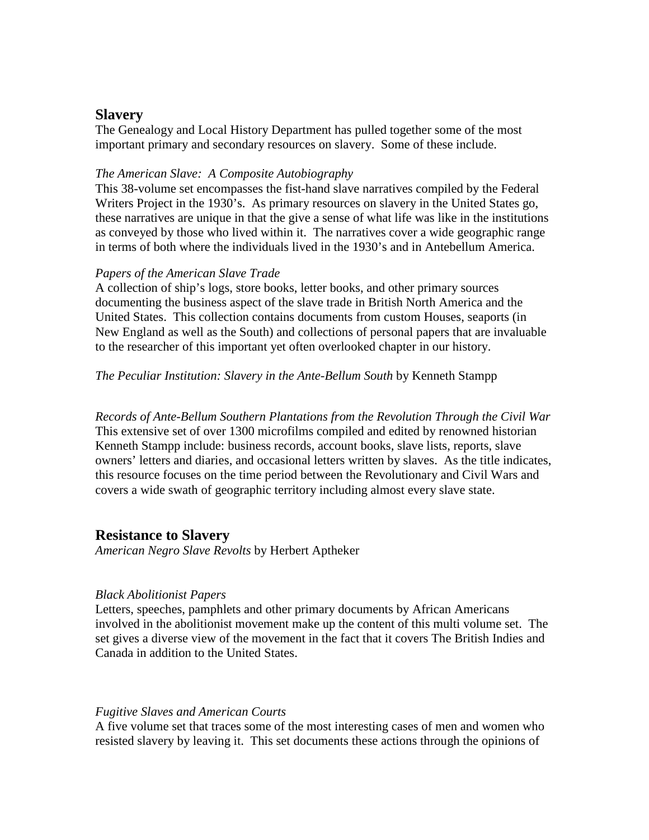### **Slavery**

The Genealogy and Local History Department has pulled together some of the most important primary and secondary resources on slavery. Some of these include.

#### *The American Slave: A Composite Autobiography*

This 38-volume set encompasses the fist-hand slave narratives compiled by the Federal Writers Project in the 1930's. As primary resources on slavery in the United States go, these narratives are unique in that the give a sense of what life was like in the institutions as conveyed by those who lived within it. The narratives cover a wide geographic range in terms of both where the individuals lived in the 1930's and in Antebellum America.

#### *Papers of the American Slave Trade*

A collection of ship's logs, store books, letter books, and other primary sources documenting the business aspect of the slave trade in British North America and the United States. This collection contains documents from custom Houses, seaports (in New England as well as the South) and collections of personal papers that are invaluable to the researcher of this important yet often overlooked chapter in our history.

#### *The Peculiar Institution: Slavery in the Ante-Bellum South* by Kenneth Stampp

*Records of Ante-Bellum Southern Plantations from the Revolution Through the Civil War*  This extensive set of over 1300 microfilms compiled and edited by renowned historian Kenneth Stampp include: business records, account books, slave lists, reports, slave owners' letters and diaries, and occasional letters written by slaves. As the title indicates, this resource focuses on the time period between the Revolutionary and Civil Wars and covers a wide swath of geographic territory including almost every slave state.

## **Resistance to Slavery**

*American Negro Slave Revolts* by Herbert Aptheker

### *Black Abolitionist Papers*

Letters, speeches, pamphlets and other primary documents by African Americans involved in the abolitionist movement make up the content of this multi volume set. The set gives a diverse view of the movement in the fact that it covers The British Indies and Canada in addition to the United States.

### *Fugitive Slaves and American Courts*

A five volume set that traces some of the most interesting cases of men and women who resisted slavery by leaving it. This set documents these actions through the opinions of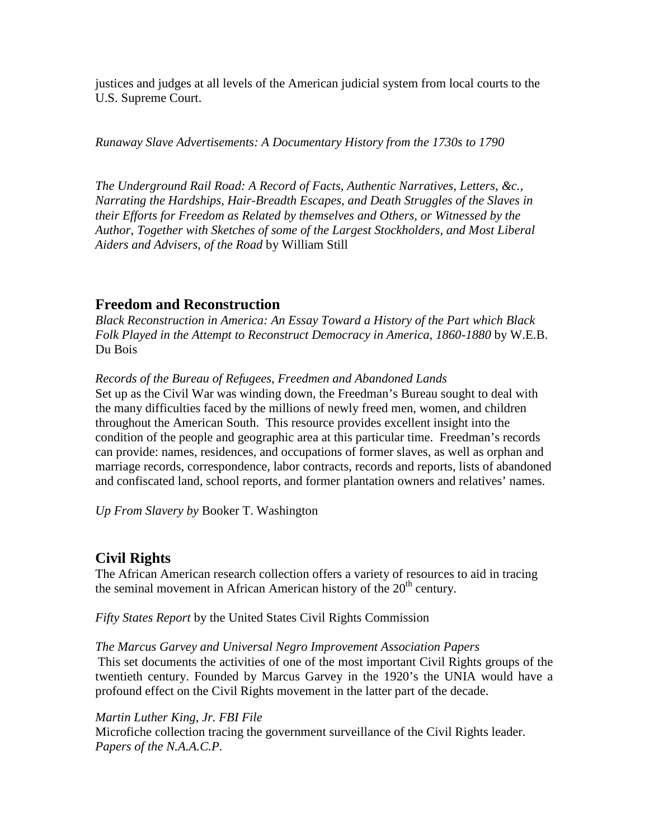justices and judges at all levels of the American judicial system from local courts to the U.S. Supreme Court.

*Runaway Slave Advertisements: A Documentary History from the 1730s to 1790*

*The Underground Rail Road: A Record of Facts, Authentic Narratives, Letters, &c., Narrating the Hardships, Hair-Breadth Escapes, and Death Struggles of the Slaves in their Efforts for Freedom as Related by themselves and Others, or Witnessed by the Author, Together with Sketches of some of the Largest Stockholders, and Most Liberal Aiders and Advisers, of the Road* by William Still

# **Freedom and Reconstruction**

*Black Reconstruction in America: An Essay Toward a History of the Part which Black Folk Played in the Attempt to Reconstruct Democracy in America, 1860-1880* by W.E.B. Du Bois

*Records of the Bureau of Refugees, Freedmen and Abandoned Lands* 

Set up as the Civil War was winding down, the Freedman's Bureau sought to deal with the many difficulties faced by the millions of newly freed men, women, and children throughout the American South. This resource provides excellent insight into the condition of the people and geographic area at this particular time. Freedman's records can provide: names, residences, and occupations of former slaves, as well as orphan and marriage records, correspondence, labor contracts, records and reports, lists of abandoned and confiscated land, school reports, and former plantation owners and relatives' names.

*Up From Slavery by* Booker T. Washington

# **Civil Rights**

The African American research collection offers a variety of resources to aid in tracing the seminal movement in African American history of the  $20<sup>th</sup>$  century.

*Fifty States Report* by the United States Civil Rights Commission

### *The Marcus Garvey and Universal Negro Improvement Association Papers*

This set documents the activities of one of the most important Civil Rights groups of the twentieth century. Founded by Marcus Garvey in the 1920's the UNIA would have a profound effect on the Civil Rights movement in the latter part of the decade.

## *Martin Luther King, Jr. FBI File*

Microfiche collection tracing the government surveillance of the Civil Rights leader. *Papers of the N.A.A.C.P.*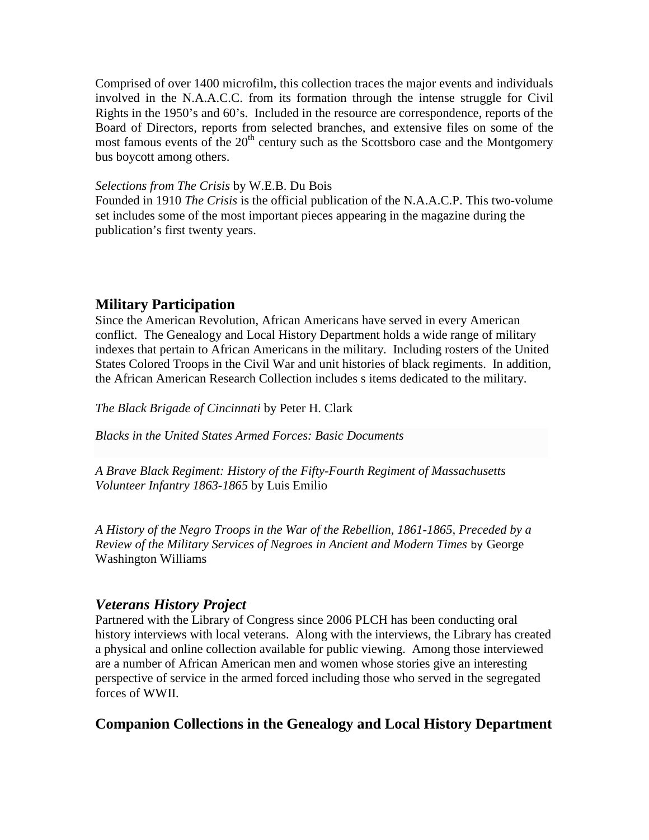Comprised of over 1400 microfilm, this collection traces the major events and individuals involved in the N.A.A.C.C. from its formation through the intense struggle for Civil Rights in the 1950's and 60's. Included in the resource are correspondence, reports of the Board of Directors, reports from selected branches, and extensive files on some of the most famous events of the  $20<sup>th</sup>$  century such as the Scottsboro case and the Montgomery bus boycott among others.

#### *Selections from The Crisis* by W.E.B. Du Bois

Founded in 1910 *The Crisis* is the official publication of the N.A.A.C.P. This two-volume set includes some of the most important pieces appearing in the magazine during the publication's first twenty years.

## **Military Participation**

Since the American Revolution, African Americans have served in every American conflict. The Genealogy and Local History Department holds a wide range of military indexes that pertain to African Americans in the military. Including rosters of the United States Colored Troops in the Civil War and unit histories of black regiments. In addition, the African American Research Collection includes s items dedicated to the military.

*The Black Brigade of Cincinnati* by Peter H. Clark

*Blacks in the United States Armed Forces: Basic Documents*

*A Brave Black Regiment: History of the Fifty-Fourth Regiment of Massachusetts Volunteer Infantry 1863-1865* by Luis Emilio

*A History of the Negro Troops in the War of the Rebellion, 1861-1865, Preceded by a Review of the Military Services of Negroes in Ancient and Modern Times* by George Washington Williams

## *Veterans History Project*

Partnered with the Library of Congress since 2006 PLCH has been conducting oral history interviews with local veterans. Along with the interviews, the Library has created a physical and online collection available for public viewing. Among those interviewed are a number of African American men and women whose stories give an interesting perspective of service in the armed forced including those who served in the segregated forces of WWII.

## **Companion Collections in the Genealogy and Local History Department**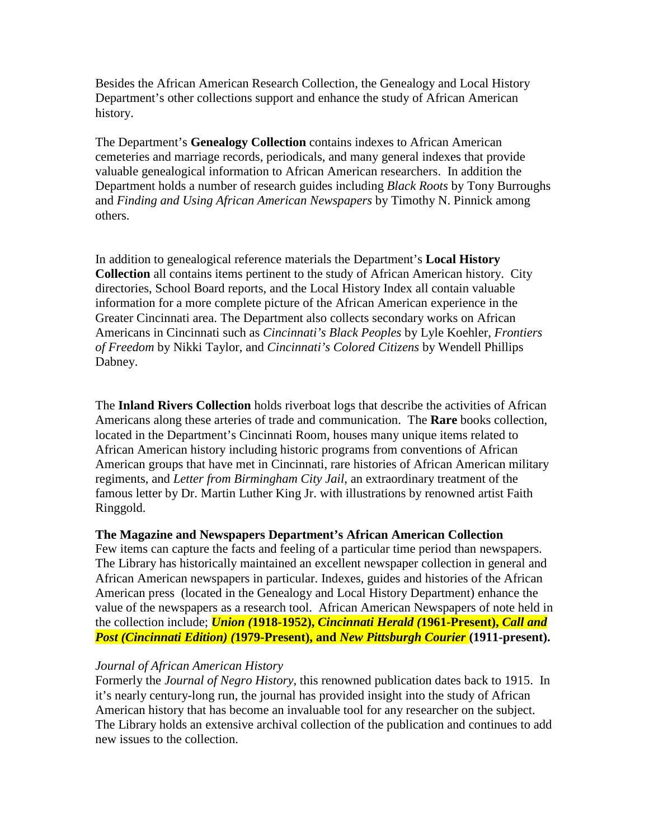Besides the African American Research Collection, the Genealogy and Local History Department's other collections support and enhance the study of African American history.

The Department's **Genealogy Collection** contains indexes to African American cemeteries and marriage records, periodicals, and many general indexes that provide valuable genealogical information to African American researchers. In addition the Department holds a number of research guides including *Black Roots* by Tony Burroughs and *Finding and Using African American Newspapers* by Timothy N. Pinnick among others.

In addition to genealogical reference materials the Department's **Local History Collection** all contains items pertinent to the study of African American history. City directories, School Board reports, and the Local History Index all contain valuable information for a more complete picture of the African American experience in the Greater Cincinnati area. The Department also collects secondary works on African Americans in Cincinnati such as *Cincinnati's Black Peoples* by Lyle Koehler, *Frontiers of Freedom* by Nikki Taylor, and *Cincinnati's Colored Citizens* by Wendell Phillips Dabney.

The **Inland Rivers Collection** holds riverboat logs that describe the activities of African Americans along these arteries of trade and communication. The **Rare** books collection, located in the Department's Cincinnati Room, houses many unique items related to African American history including historic programs from conventions of African American groups that have met in Cincinnati, rare histories of African American military regiments, and *Letter from Birmingham City Jail*, an extraordinary treatment of the famous letter by Dr. Martin Luther King Jr. with illustrations by renowned artist Faith Ringgold.

### **The Magazine and Newspapers Department's African American Collection**

Few items can capture the facts and feeling of a particular time period than newspapers. The Library has historically maintained an excellent newspaper collection in general and African American newspapers in particular. Indexes, guides and histories of the African American press (located in the Genealogy and Local History Department) enhance the value of the newspapers as a research tool. African American Newspapers of note held in the collection include; *Union (***1918-1952),** *Cincinnati Herald (***1961-Present),** *Call and Post (Cincinnati Edition) (***1979-Present), and** *New Pittsburgh Courier* **(1911-present).**

### *Journal of African American History*

Formerly the *Journal of Negro History*, this renowned publication dates back to 1915. In it's nearly century-long run, the journal has provided insight into the study of African American history that has become an invaluable tool for any researcher on the subject. The Library holds an extensive archival collection of the publication and continues to add new issues to the collection.